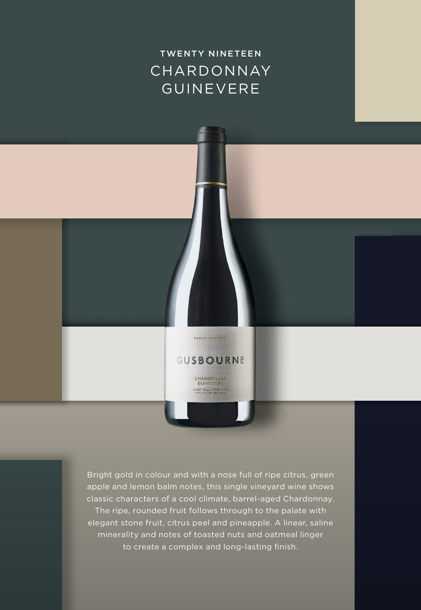# CHARDONNAY **GUINEVERE** TWENTY NINETEEN

Bright gold in colour and with a nose full of ripe citrus, green apple and lemon balm notes, this single vineyard wine shows classic characters of a cool climate, barrel-aged Chardonnay. The ripe, rounded fruit follows through to the palate with elegant stone fruit, citrus peel and pineapple. A linear, saline minerality and notes of toasted nuts and oatmeal linger to create a complex and long-lasting finish.

TWENTY MINETEEN

GUSBOURNE CHARDONNAY **GUINEVERE** BOOT HILL VINEYARD